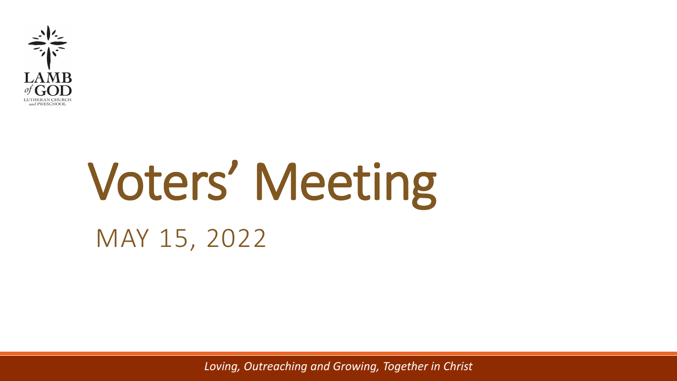

# Voters' Meeting MAY 15, 2022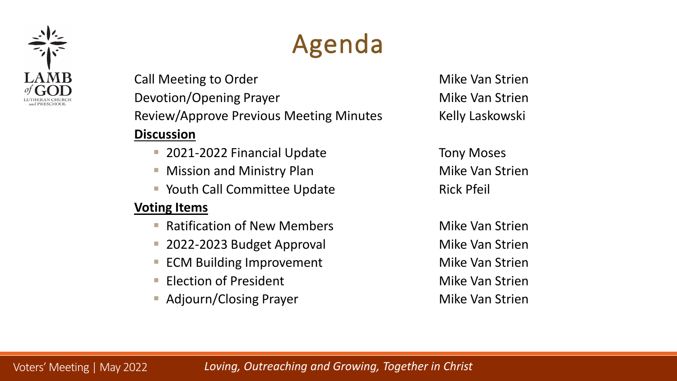

## Agenda

Call Meeting to Order The Call Meeting to Order Mike Van Strien Devotion/Opening Prayer Mike Van Strien Review/Approve Previous Meeting Minutes Kelly Laskowski **Discussion**

- 2021-2022 Financial Update Tony Moses
- Mission and Ministry Plan Miller Mike Van Strien
- Youth Call Committee Update **Rick Pfeil**

#### **Voting Items**

- Ratification of New Members Mike Van Strien
- **2022-2023 Budget Approval Communist Convention Convention** Mike Van Strien
- **ECM Building Improvement** The Mike Van Strien
- **Election of President** Mike Van Strien
- **Adjourn/Closing Prayer Mike Van Strien**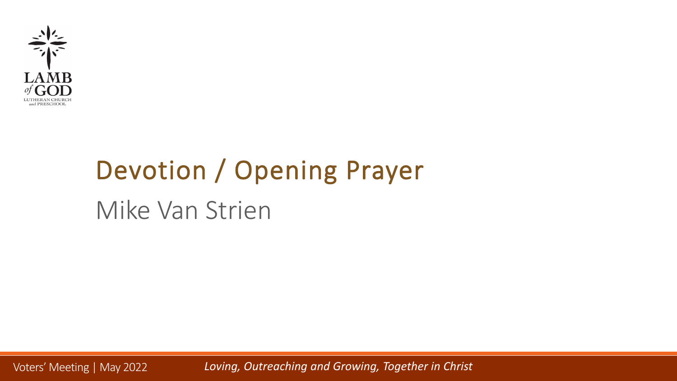

# Devotion / Opening Prayer Mike Van Strien

Voters' Meeting | May 2022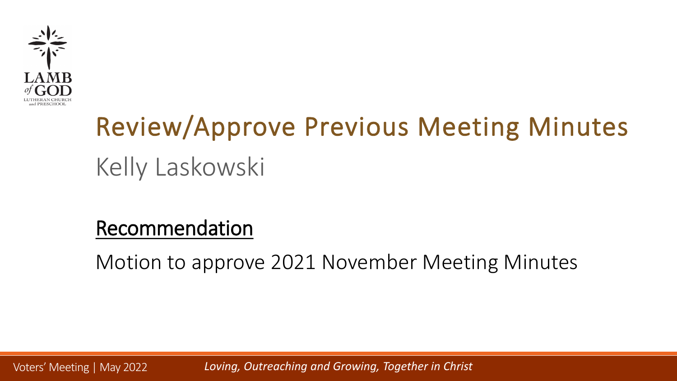

# Review/Approve Previous Meeting Minutes Kelly Laskowski

### Recommendation

Motion to approve 2021 November Meeting Minutes

Voters' Meeting | May 2022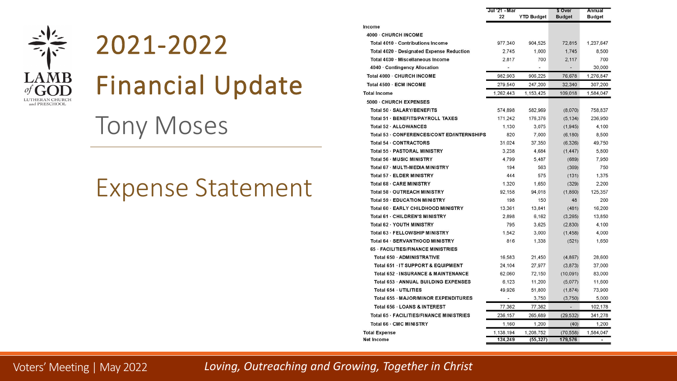

### 2021-2022

Financial Update

### Tony Moses

### Expense Statement

|                                            | Jul 21 Mar |                   | \$ Over       | Annual        |
|--------------------------------------------|------------|-------------------|---------------|---------------|
|                                            | 22         | <b>YTD Budget</b> | <b>Budget</b> | <b>Budget</b> |
| Income                                     |            |                   |               |               |
| 4000 - CHURCH INCOME                       |            |                   |               |               |
| Total 4010 · Contributions Income          | 977.340    | 904.525           | 72,815        | 1,237,647     |
| Total 4020 · Designated Expense Reduction  | 2,745      | 1,000             | 1,745         | 8,500         |
| Total 4030 · Miscellaneous Income          | 2,817      | 700               | 2,117         | 700           |
| 4040 Contingency Allocation                |            |                   |               | 30,000        |
| Total 4000 · CHURCH INCOME                 | 982,903    | 906,225           | 76.678        | 1,276,847     |
| Total 4500 · ECM INCOME                    | 279,540    | 247,200           | 32,340        | 307,200       |
| <b>Total Income</b>                        | 1,262,443  | 1,153,425         | 109,018       | 1,584,047     |
| 5000 - CHURCH EXPENSES                     |            |                   |               |               |
| Total 50 · SALARY/BENEFITS                 | 574,898    | 582,969           | (8,070)       | 758,837       |
| Total 51 - BENEFITS/PAYROLL TAXES          | 171,242    | 176,376           | (5.134)       | 236,950       |
| Total 52 · ALLOWANCES                      | 1,130      | 3,075             | (1, 945)      | 4,100         |
| Total 53 - CONFERENCES/CONT ED/INTERNSHIPS | 820        | 7,000             | (6, 180)      | 8,500         |
| Total 54 · CONTRACTORS                     | 31,024     | 37,350            | (6, 326)      | 49,750        |
| Total 55 - PASTORAL MINISTRY               | 3.238      | 4.684             | (1, 447)      | 5.800         |
| Total 56 - MUSIC MINISTRY                  | 4.799      | 5,487             | (689)         | 7,950         |
| Total 67 · MULTI-MEDIA MINISTRY            | 194        | 563               | (369)         | 750           |
| Total 57 - ELDER MINISTRY                  | 444        | 575               | (131)         | 1,375         |
| Total 68 - CARE MINISTRY                   | 1.320      | 1,650             | (329)         | 2,200         |
| Total 58 - OUTREACH MINISTRY               | 92,158     | 94,018            | (1, 860)      | 125,357       |
| Total 59 - EDUCATION MINISTRY              | 198        | 150               | 48            | 200           |
| Total 60 · EARLY CHILDHOOD MINISTRY        | 13,361     | 13,841            | (481)         | 16,200        |
| Total 61 · CHILDREN'S MINISTRY             | 2.898      | 6,162             | (3,265)       | 13,850        |
| Total 62 · YOUTH MINISTRY                  | 795        | 3,625             | (2,830)       | 4,100         |
| Total 63 - FELLOWSHIP MINISTRY             | 1,542      | 3,000             | (1, 458)      | 4,000         |
| Total 64 · SERVANTHOOD MINISTRY            | 816        | 1.338             | (521)         | 1,650         |
| <b>65 - FACILITIES/FINANCE MINISTRIES</b>  |            |                   |               |               |
| Total 650 · ADMINISTRATIVE                 | 16,583     | 21,450            | (4, 867)      | 28,600        |
| Total 651 - IT SUPPORT & EQUIPMENT         | 24,104     | 27,977            | (3, 873)      | 37,000        |
| Total 652 INSURANCE & MAINTENANCE          | 62,060     | 72,150            | (10, 091)     | 83,000        |
| Total 653 - ANNUAL BUILDING EXPENSES       | 6,123      | 11,200            | (5,077)       | 11,600        |
| Total 654 · UTILITIES                      | 49.926     | 51,800            | (1, 874)      | 73,900        |
| Total 655 MAJOR/MINOR EXPENDITURES         |            | 3,750             | (3,750)       | 5,000         |
| Total 656 - LOANS & INTEREST               | 77,362     | 77,362            | ÷.            | 102,178       |
| Total 65 - FACILITIES/FINANCE MINISTRIES   | 236,157    | 265,689           | (29, 532)     | 341,278       |
| Total 66 · CMC MINISTRY                    | 1,160      | 1,200             | (40)          | 1,200         |
| <b>Total Expense</b>                       | 1.138.194  | 1.208.752         | (70, 558)     | 1.584.047     |
| Net Income                                 | 124,249    | (55, 327)         | 179,576       |               |

Voters' Meeting | May 2022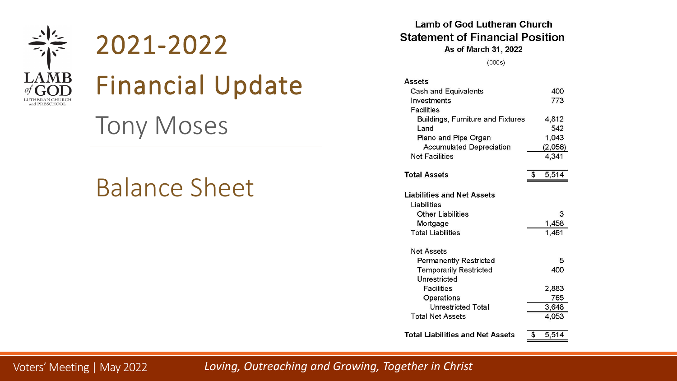

### 2021-2022



### Financial Update

### Tony Moses

### Balance Sheet

#### **Lamb of God Lutheran Church Statement of Financial Position** As of March 31, 2022

 $(000s)$ 

| <b>Assets</b>                                    |             |
|--------------------------------------------------|-------------|
| <b>Cash and Equivalents</b>                      | 400         |
| Investments                                      | 773         |
| <b>Facilities</b>                                |             |
| <b>Buildings, Furniture and Fixtures</b>         | 4,812       |
| Land                                             | 542         |
| Piano and Pipe Organ                             | 1,043       |
| <b>Accumulated Depreciation</b>                  | (2,056)     |
| <b>Net Facilities</b>                            | 4,341       |
| <b>Total Assets</b>                              | \$<br>5,514 |
|                                                  |             |
| <b>Liabilities and Net Assets</b><br>Liabilities |             |
| <b>Other Liabilities</b>                         | 3           |
| Mortgage                                         | 1,458       |
| <b>Total Liabilities</b>                         | 1,461       |
| <b>Net Assets</b>                                |             |
| <b>Permanently Restricted</b>                    | 5           |
| <b>Temporarily Restricted</b>                    | 400         |
| Unrestricted                                     |             |
| <b>Facilities</b>                                | 2.883       |
| Operations                                       | 765         |
| <b>Unrestricted Total</b>                        | 3,648       |
| <b>Total Net Assets</b>                          | 4,053       |
| <b>Total Liabilities and Net Assets</b>          | \$<br>5,514 |

Voters' Meeting | May 2022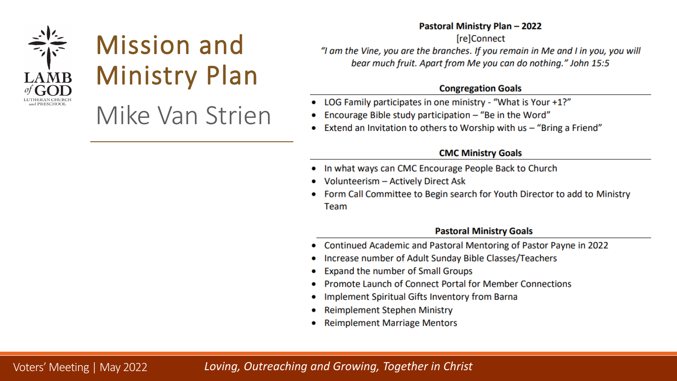

## Mission and Ministry Plan

### Mike Van Strien

#### Pastoral Ministry Plan - 2022

**IrelConnect** "I am the Vine, you are the branches. If you remain in Me and I in you, you will bear much fruit. Apart from Me you can do nothing." John 15:5

#### **Congregation Goals**

- LOG Family participates in one ministry "What is Your +1?"
- Encourage Bible study participation  $-$  "Be in the Word"
- Extend an Invitation to others to Worship with us "Bring a Friend"

#### **CMC Ministry Goals**

- In what ways can CMC Encourage People Back to Church
- Volunteerism Actively Direct Ask
- Form Call Committee to Begin search for Youth Director to add to Ministry Team

#### **Pastoral Ministry Goals**

- Continued Academic and Pastoral Mentoring of Pastor Payne in 2022
- Increase number of Adult Sunday Bible Classes/Teachers
- Expand the number of Small Groups
- Promote Launch of Connect Portal for Member Connections
- Implement Spiritual Gifts Inventory from Barna
- **Reimplement Stephen Ministry**
- **Reimplement Marriage Mentors**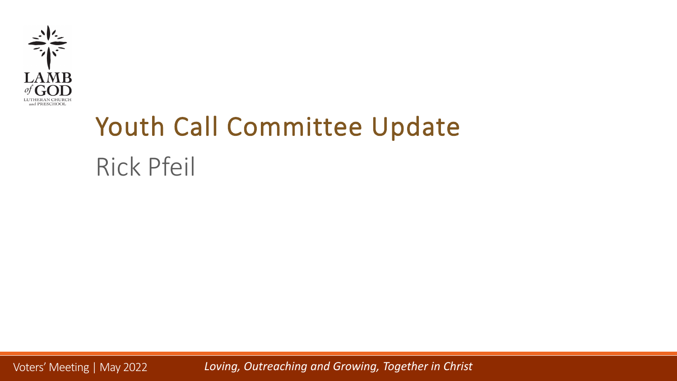

## Youth Call Committee Update Rick Pfeil

Voters' Meeting | May 2022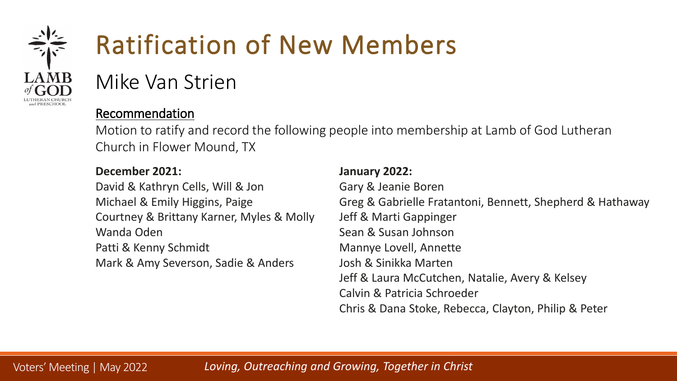

## Ratification of New Members

Mike Van Strien

#### Recommendation

Motion to ratify and record the following people into membership at Lamb of God Lutheran Church in Flower Mound, TX

| December 2021:                            | January 2022:                                             |
|-------------------------------------------|-----------------------------------------------------------|
| David & Kathryn Cells, Will & Jon         | Gary & Jeanie Boren                                       |
| Michael & Emily Higgins, Paige            | Greg & Gabrielle Fratantoni, Bennett, Shepherd & Hathaway |
| Courtney & Brittany Karner, Myles & Molly | Jeff & Marti Gappinger                                    |
| Wanda Oden                                | Sean & Susan Johnson                                      |
| Patti & Kenny Schmidt                     | Mannye Lovell, Annette                                    |
| Mark & Amy Severson, Sadie & Anders       | Josh & Sinikka Marten                                     |
|                                           | Jeff & Laura McCutchen, Natalie, Avery & Kelsey           |
|                                           | Calvin & Patricia Schroeder                               |

Chris & Dana Stoke, Rebecca, Clayton, Philip & Peter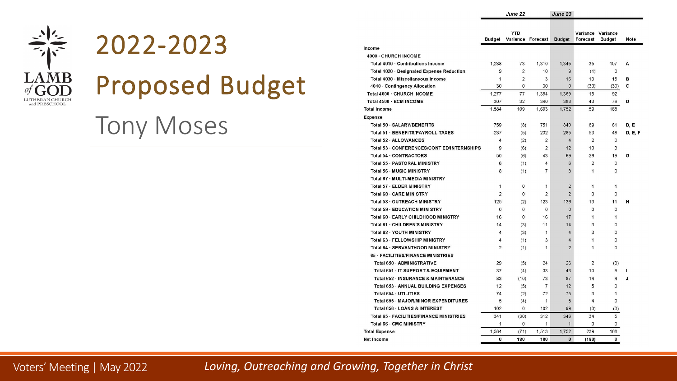

### 2022-2023

## Proposed Budget

### Tony Moses

|                                                |                | <b>YTD</b>        |                |                | Variance Variance |                |             |
|------------------------------------------------|----------------|-------------------|----------------|----------------|-------------------|----------------|-------------|
|                                                | <b>Budget</b>  | Variance Forecast |                | <b>Budget</b>  | Forecast          | <b>Budget</b>  | <b>Note</b> |
| Income                                         |                |                   |                |                |                   |                |             |
| 4000 - CHURCH INCOME                           |                |                   |                |                |                   |                |             |
| Total 4010 · Contributions Income              | 1,238          | 73                | 1,310          | 1,345          | 35                | 107            | A           |
| Total 4020 · Designated Expense Reduction      | 9              | $\overline{2}$    | 10             | $\overline{9}$ | (1)               | $\mathbf 0$    |             |
| Total 4030 Miscellaneous Income                | $\mathbf{1}$   | 2                 | 3              | 16             | 13                | 15             | в           |
| 4040 · Contingency Allocation                  | 30             | $\mathbf 0$       | 30             | $\mathbf 0$    | (30)              | (30)           | c           |
| Total 4000 - CHURCH INCOME                     | 1,277          | 77                | 1,354          | 1,369          | 15                | 92             |             |
| Total 4500 · ECM INCOME                        | 307            | 32                | 340            | 383            | 43                | 76             | D           |
| <b>Total Income</b>                            | 1,584          | 109               | 1.693          | 1,752          | 59                | 168            |             |
| <b>Expense</b>                                 |                |                   |                |                |                   |                |             |
| Total 50 · SALARY/BENEFITS                     | 759            | (8)               | 751            | 840            | 89                | 81             | D, E        |
| Total 51 · BENEFITS/PAYROLL TAXES              | 237            | (5)               | 232            | 285            | 53                | 48             | D, E, F     |
| Total 52 · ALLOWANCES                          | $\overline{4}$ | (2)               | $\overline{2}$ | $\overline{4}$ | $\overline{2}$    | $\mathbf 0$    |             |
| Total 53 - CONFERENCES/CONT ED/INTERNSHIPS     | 9              | (6)               | $\overline{2}$ | 12             | 10                | 3              |             |
| Total 54 · CONTRACTORS                         | 50             | (6)               | 43             | 69             | 26                | 19             | G           |
| Total 55 - PASTORAL MINISTRY                   | 6              | (1)               | 4              | 6              | $\overline{2}$    | $\mathbf 0$    |             |
| Total 56 - MUSIC MINISTRY                      | 8              | (1)               | 7              | 8              | $\mathbf{1}$      | 0              |             |
| Total 67 MULTI-MEDIA MINISTRY                  |                |                   |                |                |                   |                |             |
| Total 57 · ELDER MINISTRY                      | 1              | $\mathbf 0$       | $\mathbf{1}$   | $\overline{2}$ | $\mathbf{1}$      | $\mathbf{1}$   |             |
| Total 68 - CARE MINISTRY                       | $\overline{2}$ | $\mathbf 0$       | $\overline{2}$ | $\overline{2}$ | 0                 | 0              |             |
| Total 58 - OUTREACH MINISTRY                   | 125            | (2)               | 123            | 136            | 13                | 11             | н           |
| <b>Total 59 - EDUCATION MINISTRY</b>           | $\Omega$       | 0                 | 0              | $\mathbf 0$    | $\Omega$          | 0              |             |
| Total 60 - EARLY CHILDHOOD MINISTRY            | 16             | $\mathbf{0}$      | 16             | 17             | $\mathbf{1}$      | $\mathbf{1}$   |             |
| Total 61 - CHILDREN'S MINISTRY                 | 14             | (3)               | 11             | 14             | 3                 | 0              |             |
| <b>Total 62 YOUTH MINISTRY</b>                 | 4              | (3)               | 1              | $\overline{4}$ | 3                 | 0              |             |
| Total 63 - FELLOWSHIP MINISTRY                 | 4              | (1)               | 3              | $\overline{4}$ | $\mathbf{1}$      | 0              |             |
| Total 64 · SERVANTHOOD MINISTRY                | $\overline{2}$ | (1)               | 1              | $\overline{2}$ | $\mathbf{1}$      | 0              |             |
| <b>65 FACILITIES/FINANCE MINISTRIES</b>        |                |                   |                |                |                   |                |             |
| Total 650 · ADMINISTRATIVE                     | 29             | (5)               | 24             | 26             | $\overline{2}$    | (3)            |             |
| Total 651 · IT SUPPORT & EQUIPMENT             | 37             | (4)               | 33             | 43             | 10                | 6              | T           |
| <b>Total 652 - INSURANCE &amp; MAINTENANCE</b> | 83             | (10)              | 73             | 87             | 14                | $\overline{4}$ | J           |
| Total 653 · ANNUAL BUILDING EXPENSES           | 12             | (5)               | $\overline{7}$ | 12             | 5                 | 0              |             |
| Total 654 · UTILITIES                          | 74             | (2)               | 72             | 75             | 3                 | $\mathbf{1}$   |             |
| Total 655 · MAJOR/MINOR EXPENDITURES           | 5              | (4)               | 1              | 5              | $\overline{4}$    | $\mathbf 0$    |             |
| Total 656 · LOANS & INTEREST                   | 102            | $\mathbf 0$       | 102            | 99             | (3)               | (3)            |             |
| Total 65 - FACILITIES/FINANCE MINISTRIES       | 341            | (30)              | 312            | 346            | 34                | 5              |             |
| Total 66 CMC MINISTRY                          | $\mathbf{1}$   | $\mathbf 0$       | $\mathbf{1}$   | $\mathbf{1}$   | 0                 | 0              |             |
| <b>Total Expense</b>                           | 1.584          | (71)              | 1.513          | 1,752          | 239               | 168            |             |
| Net Income                                     | $\bf{0}$       | 180               | 180            | $\Omega$       | (180)             | 0              |             |
|                                                |                |                   |                |                |                   |                |             |

June 23

June 22

Voters' Meeting | May 2022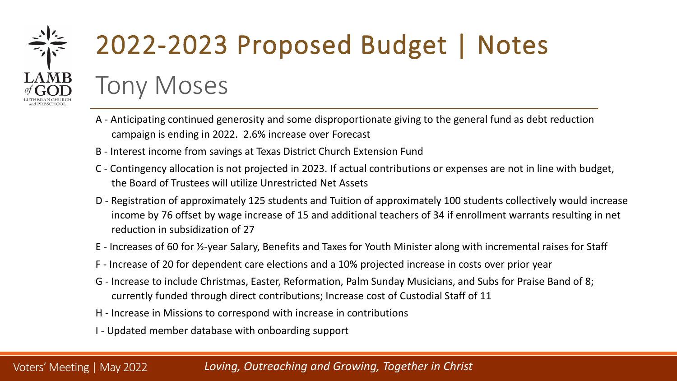

Voters' Meeting | May 2022

## 2022-2023 Proposed Budget | Notes

Tony Moses

- A Anticipating continued generosity and some disproportionate giving to the general fund as debt reduction campaign is ending in 2022. 2.6% increase over Forecast
- B Interest income from savings at Texas District Church Extension Fund
- C Contingency allocation is not projected in 2023. If actual contributions or expenses are not in line with budget, the Board of Trustees will utilize Unrestricted Net Assets
- D Registration of approximately 125 students and Tuition of approximately 100 students collectively would increase income by 76 offset by wage increase of 15 and additional teachers of 34 if enrollment warrants resulting in net reduction in subsidization of 27
- E Increases of 60 for ½-year Salary, Benefits and Taxes for Youth Minister along with incremental raises for Staff
- F Increase of 20 for dependent care elections and a 10% projected increase in costs over prior year
- G Increase to include Christmas, Easter, Reformation, Palm Sunday Musicians, and Subs for Praise Band of 8; currently funded through direct contributions; Increase cost of Custodial Staff of 11
- H Increase in Missions to correspond with increase in contributions
- I Updated member database with onboarding support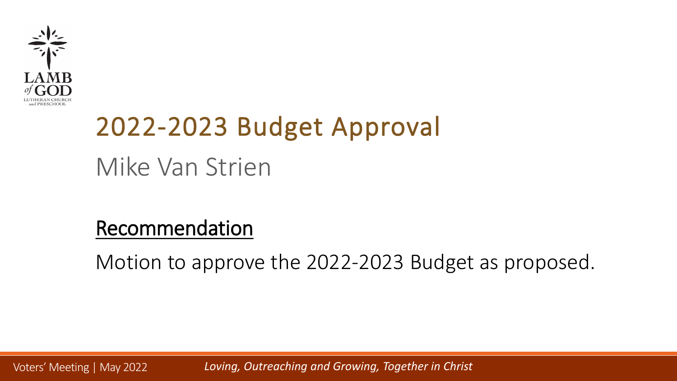

## 2022-2023 Budget Approval Mike Van Strien

### Recommendation

Motion to approve the 2022-2023 Budget as proposed.

Voters' Meeting | May 2022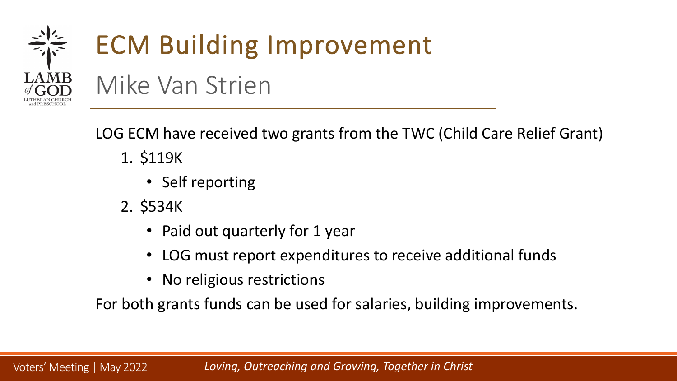

LOG ECM have received two grants from the TWC (Child Care Relief Grant)

- 1. \$119K
	- Self reporting
- 2. \$534K
	- Paid out quarterly for 1 year
	- LOG must report expenditures to receive additional funds
	- No religious restrictions

For both grants funds can be used for salaries, building improvements.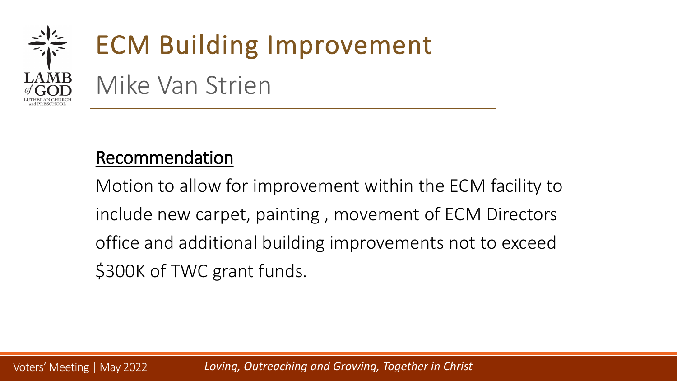

### Recommendation

Motion to allow for improvement within the ECM facility to include new carpet, painting , movement of ECM Directors office and additional building improvements not to exceed \$300K of TWC grant funds.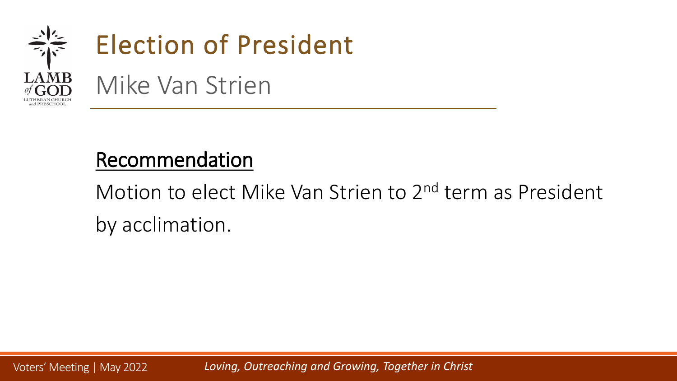

### Recommendation

Motion to elect Mike Van Strien to 2<sup>nd</sup> term as President by acclimation.